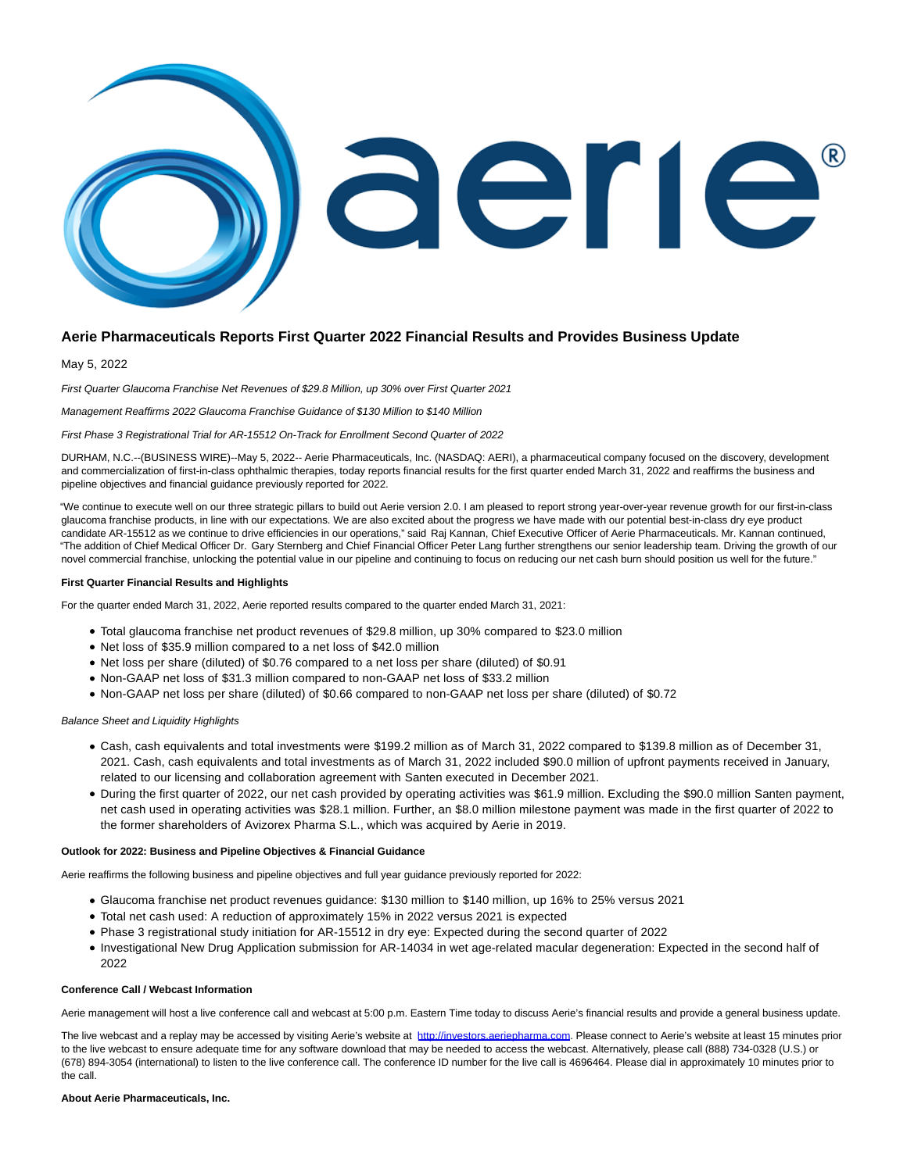

# **Aerie Pharmaceuticals Reports First Quarter 2022 Financial Results and Provides Business Update**

May 5, 2022

First Quarter Glaucoma Franchise Net Revenues of \$29.8 Million, up 30% over First Quarter 2021

Management Reaffirms 2022 Glaucoma Franchise Guidance of \$130 Million to \$140 Million

First Phase 3 Registrational Trial for AR-15512 On-Track for Enrollment Second Quarter of 2022

DURHAM, N.C.--(BUSINESS WIRE)--May 5, 2022-- Aerie Pharmaceuticals, Inc. (NASDAQ: AERI), a pharmaceutical company focused on the discovery, development and commercialization of first-in-class ophthalmic therapies, today reports financial results for the first quarter ended March 31, 2022 and reaffirms the business and pipeline objectives and financial guidance previously reported for 2022.

"We continue to execute well on our three strategic pillars to build out Aerie version 2.0. I am pleased to report strong year-over-year revenue growth for our first-in-class glaucoma franchise products, in line with our expectations. We are also excited about the progress we have made with our potential best-in-class dry eye product candidate AR-15512 as we continue to drive efficiencies in our operations," said Raj Kannan, Chief Executive Officer of Aerie Pharmaceuticals. Mr. Kannan continued, "The addition of Chief Medical Officer Dr. Gary Sternberg and Chief Financial Officer Peter Lang further strengthens our senior leadership team. Driving the growth of our novel commercial franchise, unlocking the potential value in our pipeline and continuing to focus on reducing our net cash burn should position us well for the future."

#### **First Quarter Financial Results and Highlights**

For the quarter ended March 31, 2022, Aerie reported results compared to the quarter ended March 31, 2021:

- Total glaucoma franchise net product revenues of \$29.8 million, up 30% compared to \$23.0 million
- Net loss of \$35.9 million compared to a net loss of \$42.0 million
- Net loss per share (diluted) of \$0.76 compared to a net loss per share (diluted) of \$0.91
- Non-GAAP net loss of \$31.3 million compared to non-GAAP net loss of \$33.2 million
- Non-GAAP net loss per share (diluted) of \$0.66 compared to non-GAAP net loss per share (diluted) of \$0.72

#### Balance Sheet and Liquidity Highlights

- Cash, cash equivalents and total investments were \$199.2 million as of March 31, 2022 compared to \$139.8 million as of December 31, 2021. Cash, cash equivalents and total investments as of March 31, 2022 included \$90.0 million of upfront payments received in January, related to our licensing and collaboration agreement with Santen executed in December 2021.
- During the first quarter of 2022, our net cash provided by operating activities was \$61.9 million. Excluding the \$90.0 million Santen payment, net cash used in operating activities was \$28.1 million. Further, an \$8.0 million milestone payment was made in the first quarter of 2022 to the former shareholders of Avizorex Pharma S.L., which was acquired by Aerie in 2019.

## **Outlook for 2022: Business and Pipeline Objectives & Financial Guidance**

Aerie reaffirms the following business and pipeline objectives and full year guidance previously reported for 2022:

- Glaucoma franchise net product revenues guidance: \$130 million to \$140 million, up 16% to 25% versus 2021
- Total net cash used: A reduction of approximately 15% in 2022 versus 2021 is expected
- Phase 3 registrational study initiation for AR-15512 in dry eye: Expected during the second quarter of 2022
- Investigational New Drug Application submission for AR-14034 in wet age-related macular degeneration: Expected in the second half of 2022

## **Conference Call / Webcast Information**

Aerie management will host a live conference call and webcast at 5:00 p.m. Eastern Time today to discuss Aerie's financial results and provide a general business update.

The live webcast and a replay may be accessed by visiting Aerie's website at [http://investors.aeriepharma.com.](https://cts.businesswire.com/ct/CT?id=smartlink&url=http%3A%2F%2Finvestors.aeriepharma.com&esheet=52708828&newsitemid=20220505005350&lan=en-US&anchor=http%3A%2F%2Finvestors.aeriepharma.com&index=1&md5=107b968f4093ccc1b610674de84bd5bc) Please connect to Aerie's website at least 15 minutes prior to the live webcast to ensure adequate time for any software download that may be needed to access the webcast. Alternatively, please call (888) 734-0328 (U.S.) or (678) 894-3054 (international) to listen to the live conference call. The conference ID number for the live call is 4696464. Please dial in approximately 10 minutes prior to the call.

### **About Aerie Pharmaceuticals, Inc.**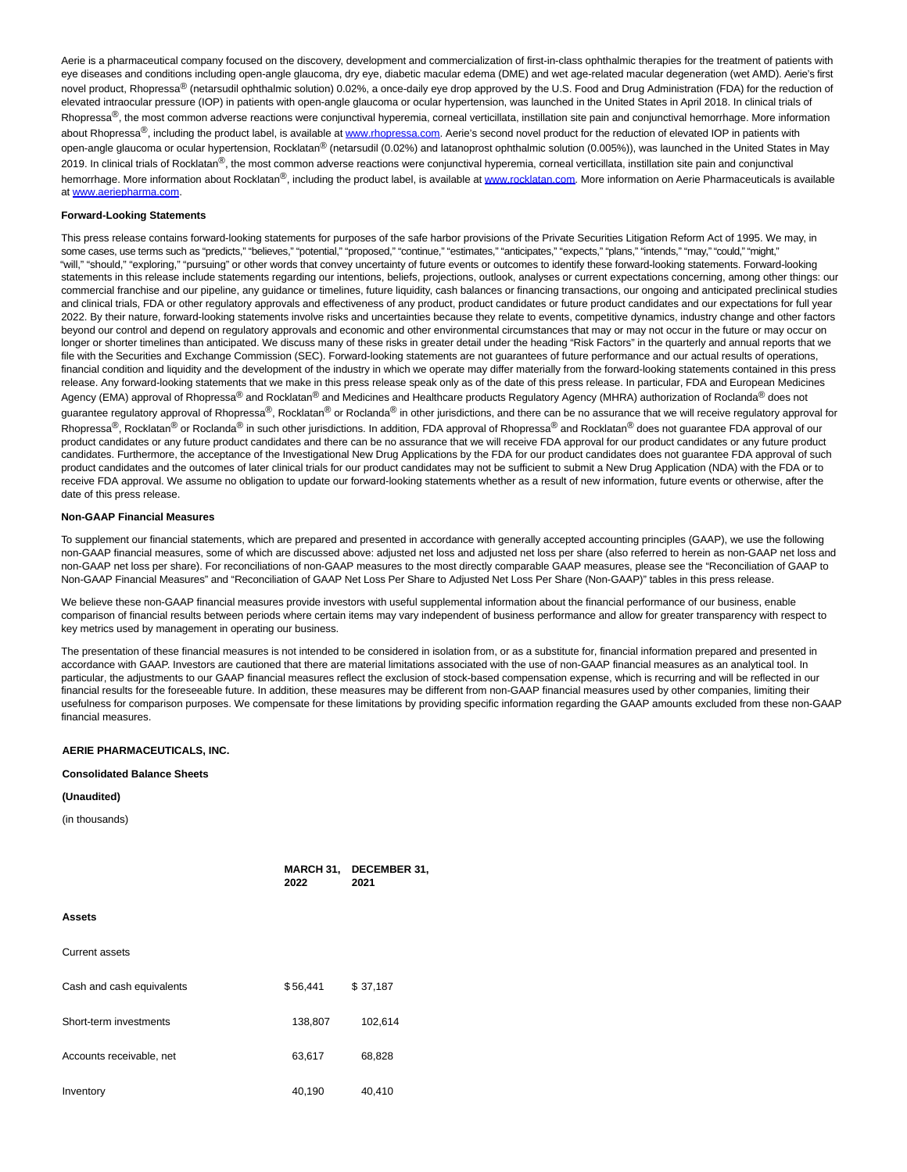Aerie is a pharmaceutical company focused on the discovery, development and commercialization of first-in-class ophthalmic therapies for the treatment of patients with eye diseases and conditions including open-angle glaucoma, dry eye, diabetic macular edema (DME) and wet age-related macular degeneration (wet AMD). Aerie's first novel product, Rhopressa® (netarsudil ophthalmic solution) 0.02%, a once-daily eye drop approved by the U.S. Food and Drug Administration (FDA) for the reduction of elevated intraocular pressure (IOP) in patients with open-angle glaucoma or ocular hypertension, was launched in the United States in April 2018. In clinical trials of Rhopressa<sup>®</sup>, the most common adverse reactions were conjunctival hyperemia, corneal verticillata, instillation site pain and conjunctival hemorrhage. More information about Rhopressa<sup>®</sup>, including the product label, is available at [www.rhopressa.com.](https://cts.businesswire.com/ct/CT?id=smartlink&url=http%3A%2F%2Fwww.rhopressa.com&esheet=52708828&newsitemid=20220505005350&lan=en-US&anchor=www.rhopressa.com&index=2&md5=bc1069030e340e1bb78a322168a78c15) Aerie's second novel product for the reduction of elevated IOP in patients with open-angle glaucoma or ocular hypertension, Rocklatan<sup>®</sup> (netarsudil (0.02%) and latanoprost ophthalmic solution (0.005%)), was launched in the United States in May 2019. In clinical trials of Rocklatan®, the most common adverse reactions were conjunctival hyperemia, corneal verticillata, instillation site pain and conjunctival hemorrhage. More information about Rocklatan<sup>®</sup>, including the product label, is available a[t www.rocklatan.com.](https://cts.businesswire.com/ct/CT?id=smartlink&url=http%3A%2F%2Fwww.rocklatan.com&esheet=52708828&newsitemid=20220505005350&lan=en-US&anchor=www.rocklatan.com&index=3&md5=e5cb9d7f90b36212f32dc360cc8297af) More information on Aerie Pharmaceuticals is available a[t www.aeriepharma.com.](https://cts.businesswire.com/ct/CT?id=smartlink&url=http%3A%2F%2Fwww.aeriepharma.com&esheet=52708828&newsitemid=20220505005350&lan=en-US&anchor=www.aeriepharma.com&index=4&md5=02c35eec8814eec207236217fd49e720)

## **Forward-Looking Statements**

This press release contains forward-looking statements for purposes of the safe harbor provisions of the Private Securities Litigation Reform Act of 1995. We may, in some cases, use terms such as "predicts," "believes," "potential," "proposed," "continue," "estimates," "anticipates," "expects," "plans," "intends," "may," "could," "might," "will," "should," "exploring," "pursuing" or other words that convey uncertainty of future events or outcomes to identify these forward-looking statements. Forward-looking statements in this release include statements regarding our intentions, beliefs, projections, outlook, analyses or current expectations concerning, among other things: our commercial franchise and our pipeline, any guidance or timelines, future liquidity, cash balances or financing transactions, our ongoing and anticipated preclinical studies and clinical trials, FDA or other regulatory approvals and effectiveness of any product, product candidates or future product candidates and our expectations for full year 2022. By their nature, forward-looking statements involve risks and uncertainties because they relate to events, competitive dynamics, industry change and other factors beyond our control and depend on regulatory approvals and economic and other environmental circumstances that may or may not occur in the future or may occur on longer or shorter timelines than anticipated. We discuss many of these risks in greater detail under the heading "Risk Factors" in the quarterly and annual reports that we file with the Securities and Exchange Commission (SEC). Forward-looking statements are not guarantees of future performance and our actual results of operations, financial condition and liquidity and the development of the industry in which we operate may differ materially from the forward-looking statements contained in this press release. Any forward-looking statements that we make in this press release speak only as of the date of this press release. In particular, FDA and European Medicines Agency (EMA) approval of Rhopressa<sup>®</sup> and Rocklatan<sup>®</sup> and Medicines and Healthcare products Regulatory Agency (MHRA) authorization of Roclanda<sup>®</sup> does not guarantee regulatory approval of Rhopressa®, Rocklatan® or Roclanda® in other jurisdictions, and there can be no assurance that we will receive regulatory approval for Rhopressa<sup>®</sup>, Rocklatan<sup>®</sup> or Roclanda<sup>®</sup> in such other jurisdictions. In addition, FDA approval of Rhopressa® and Rocklatan® does not quarantee FDA approval of our product candidates or any future product candidates and there can be no assurance that we will receive FDA approval for our product candidates or any future product candidates. Furthermore, the acceptance of the Investigational New Drug Applications by the FDA for our product candidates does not guarantee FDA approval of such product candidates and the outcomes of later clinical trials for our product candidates may not be sufficient to submit a New Drug Application (NDA) with the FDA or to receive FDA approval. We assume no obligation to update our forward-looking statements whether as a result of new information, future events or otherwise, after the date of this press release.

## **Non-GAAP Financial Measures**

To supplement our financial statements, which are prepared and presented in accordance with generally accepted accounting principles (GAAP), we use the following non-GAAP financial measures, some of which are discussed above: adjusted net loss and adjusted net loss per share (also referred to herein as non-GAAP net loss and non-GAAP net loss per share). For reconciliations of non-GAAP measures to the most directly comparable GAAP measures, please see the "Reconciliation of GAAP to Non-GAAP Financial Measures" and "Reconciliation of GAAP Net Loss Per Share to Adjusted Net Loss Per Share (Non-GAAP)" tables in this press release.

We believe these non-GAAP financial measures provide investors with useful supplemental information about the financial performance of our business, enable comparison of financial results between periods where certain items may vary independent of business performance and allow for greater transparency with respect to key metrics used by management in operating our business.

The presentation of these financial measures is not intended to be considered in isolation from, or as a substitute for, financial information prepared and presented in accordance with GAAP. Investors are cautioned that there are material limitations associated with the use of non-GAAP financial measures as an analytical tool. In particular, the adjustments to our GAAP financial measures reflect the exclusion of stock-based compensation expense, which is recurring and will be reflected in our financial results for the foreseeable future. In addition, these measures may be different from non-GAAP financial measures used by other companies, limiting their usefulness for comparison purposes. We compensate for these limitations by providing specific information regarding the GAAP amounts excluded from these non-GAAP financial measures.

**MARCH 31, DECEMBER 31,**

## **AERIE PHARMACEUTICALS, INC.**

## **Consolidated Balance Sheets**

#### **(Unaudited)**

(in thousands)

|                           | 2022     | 2021     |  |
|---------------------------|----------|----------|--|
| <b>Assets</b>             |          |          |  |
| Current assets            |          |          |  |
| Cash and cash equivalents | \$56,441 | \$37,187 |  |
| Short-term investments    | 138,807  | 102,614  |  |
| Accounts receivable, net  | 63,617   | 68,828   |  |
| Inventory                 | 40,190   | 40,410   |  |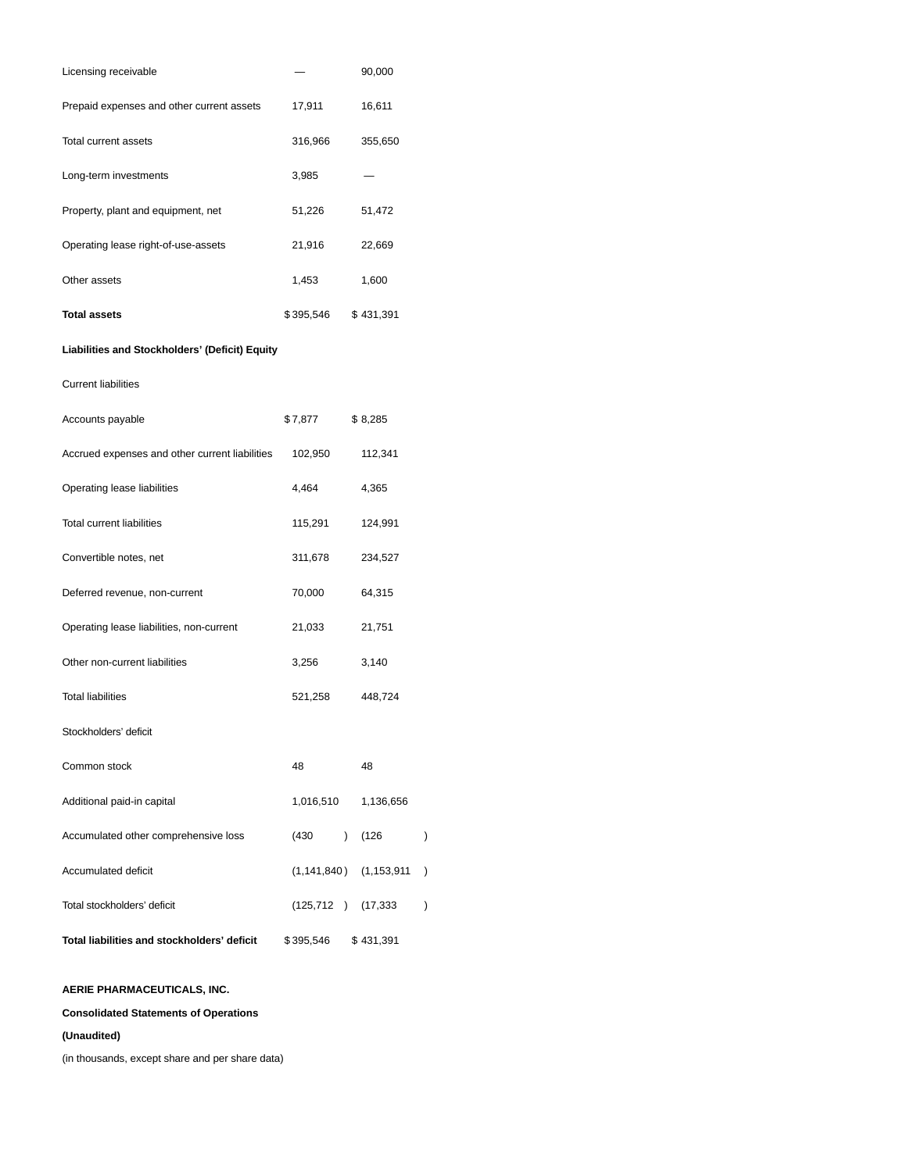| Licensing receivable                           |            |               | 90,000                      |                        |
|------------------------------------------------|------------|---------------|-----------------------------|------------------------|
| Prepaid expenses and other current assets      | 17,911     |               | 16,611                      |                        |
| Total current assets                           | 316,966    |               | 355,650                     |                        |
| Long-term investments                          | 3,985      |               |                             |                        |
| Property, plant and equipment, net             | 51,226     |               | 51,472                      |                        |
| Operating lease right-of-use-assets            | 21,916     |               | 22,669                      |                        |
| Other assets                                   | 1,453      |               | 1,600                       |                        |
| <b>Total assets</b>                            | \$395,546  |               | \$431,391                   |                        |
| Liabilities and Stockholders' (Deficit) Equity |            |               |                             |                        |
| <b>Current liabilities</b>                     |            |               |                             |                        |
| Accounts payable                               | \$7,877    |               | \$8,285                     |                        |
| Accrued expenses and other current liabilities | 102,950    |               | 112,341                     |                        |
| Operating lease liabilities                    | 4,464      |               | 4,365                       |                        |
| Total current liabilities                      | 115,291    |               | 124,991                     |                        |
| Convertible notes, net                         | 311,678    |               | 234,527                     |                        |
| Deferred revenue, non-current                  | 70,000     |               | 64,315                      |                        |
| Operating lease liabilities, non-current       | 21,033     |               | 21,751                      |                        |
| Other non-current liabilities                  | 3,256      |               | 3,140                       |                        |
| <b>Total liabilities</b>                       | 521,258    |               | 448,724                     |                        |
| Stockholders' deficit                          |            |               |                             |                        |
| Common stock                                   | 48         |               | 48                          |                        |
| Additional paid-in capital                     | 1,016,510  |               | 1,136,656                   |                        |
| Accumulated other comprehensive loss           | (430       | $\mathcal{C}$ | (126)                       | $\mathcal{E}$          |
| <b>Accumulated deficit</b>                     |            |               | $(1,141,840)$ $(1,153,911)$ | $\mathcal{E}$          |
| Total stockholders' deficit                    | (125, 712) |               | (17, 333)                   | $\mathcal{C}^{\prime}$ |
| Total liabilities and stockholders' deficit    | \$395,546  |               | \$431,391                   |                        |

**AERIE PHARMACEUTICALS, INC.**

**Consolidated Statements of Operations**

# **(Unaudited)**

(in thousands, except share and per share data)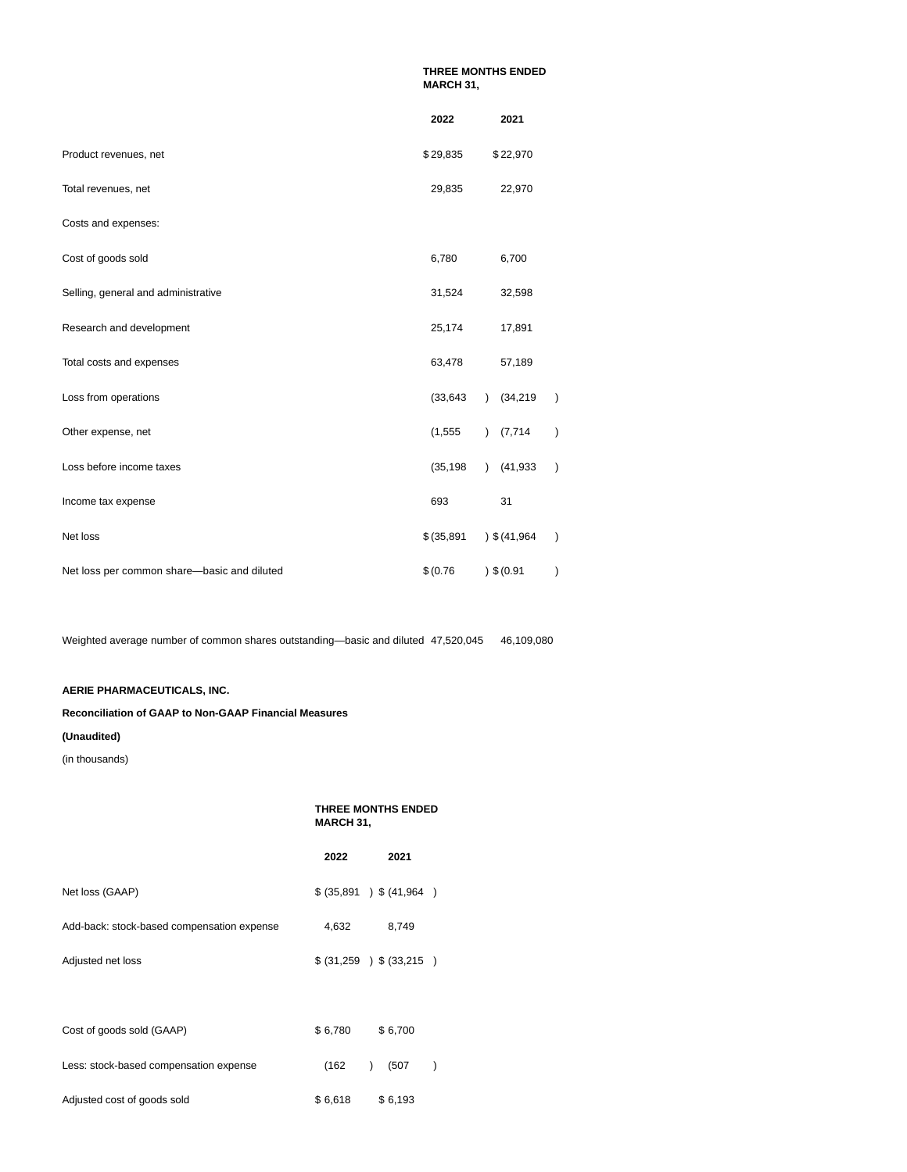# **THREE MONTHS ENDED MARCH 31,**

|                                             | 2022        | 2021                   |               |
|---------------------------------------------|-------------|------------------------|---------------|
| Product revenues, net                       | \$29,835    | \$22,970               |               |
| Total revenues, net                         | 29,835      | 22,970                 |               |
| Costs and expenses:                         |             |                        |               |
| Cost of goods sold                          | 6,780       | 6,700                  |               |
| Selling, general and administrative         | 31,524      | 32,598                 |               |
| Research and development                    | 25,174      | 17,891                 |               |
| Total costs and expenses                    | 63,478      | 57,189                 |               |
| Loss from operations                        | (33, 643)   | (34, 219)<br>$\lambda$ | $\mathcal{E}$ |
| Other expense, net                          | (1, 555)    | (7, 714)<br>$\lambda$  | $\mathcal{L}$ |
| Loss before income taxes                    | (35, 198)   | (41, 933)<br>$\lambda$ | $\lambda$     |
| Income tax expense                          | 693         | 31                     |               |
| Net loss                                    | \$ (35,891) | $)$ \$ (41,964)        | $\mathcal{E}$ |
| Net loss per common share-basic and diluted | \$ (0.76)   | $)$ \$ (0.91           | $\mathcal{E}$ |

Weighted average number of common shares outstanding—basic and diluted 47,520,045 46,109,080

# **AERIE PHARMACEUTICALS, INC.**

# **Reconciliation of GAAP to Non-GAAP Financial Measures**

# **(Unaudited)**

(in thousands)

|                                            | <b>THREE MONTHS ENDED</b><br><b>MARCH 31,</b> |                             |  |
|--------------------------------------------|-----------------------------------------------|-----------------------------|--|
|                                            | 2022                                          | 2021                        |  |
| Net loss (GAAP)                            |                                               | \$ (35,891 ) \$ (41,964 )   |  |
| Add-back: stock-based compensation expense | 4,632                                         | 8,749                       |  |
| Adjusted net loss                          |                                               | \$ (31,259 ) \$ (\$33,215 ) |  |
|                                            |                                               |                             |  |
| Cost of goods sold (GAAP)                  | \$6,780                                       | \$6,700                     |  |
| Less: stock-based compensation expense     | (162)                                         | $\mathcal{E}$<br>(507)      |  |
| Adjusted cost of goods sold                | \$6,618                                       | \$6,193                     |  |